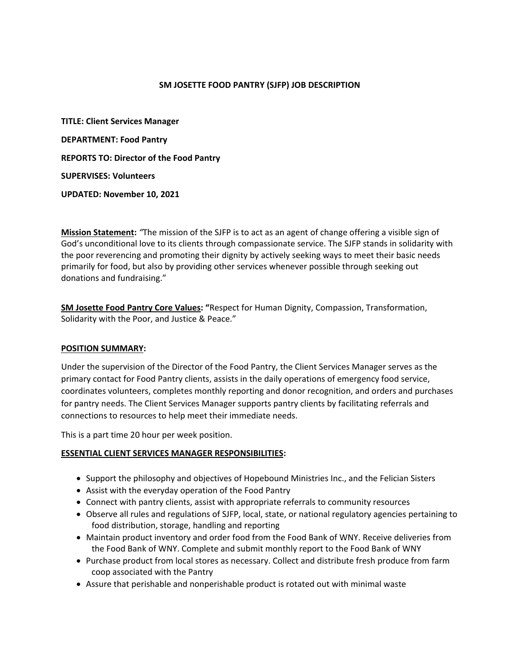#### **SM JOSETTE FOOD PANTRY (SJFP) JOB DESCRIPTION**

**TITLE: Client Services Manager DEPARTMENT: Food Pantry REPORTS TO: Director of the Food Pantry SUPERVISES: Volunteers UPDATED: November 10, 2021**

**Mission Statement:** *"*The mission of the SJFP is to act as an agent of change offering a visible sign of God's unconditional love to its clients through compassionate service. The SJFP stands in solidarity with the poor reverencing and promoting their dignity by actively seeking ways to meet their basic needs primarily for food, but also by providing other services whenever possible through seeking out donations and fundraising."

**SM Josette Food Pantry Core Values: "**Respect for Human Dignity, Compassion, Transformation, Solidarity with the Poor, and Justice & Peace."

#### **POSITION SUMMARY:**

Under the supervision of the Director of the Food Pantry, the Client Services Manager serves as the primary contact for Food Pantry clients, assists in the daily operations of emergency food service, coordinates volunteers, completes monthly reporting and donor recognition, and orders and purchases for pantry needs. The Client Services Manager supports pantry clients by facilitating referrals and connections to resources to help meet their immediate needs.

This is a part time 20 hour per week position.

### **ESSENTIAL CLIENT SERVICES MANAGER RESPONSIBILITIES:**

- Support the philosophy and objectives of Hopebound Ministries Inc., and the Felician Sisters
- Assist with the everyday operation of the Food Pantry
- Connect with pantry clients, assist with appropriate referrals to community resources
- Observe all rules and regulations of SJFP, local, state, or national regulatory agencies pertaining to food distribution, storage, handling and reporting
- Maintain product inventory and order food from the Food Bank of WNY. Receive deliveries from the Food Bank of WNY. Complete and submit monthly report to the Food Bank of WNY
- Purchase product from local stores as necessary. Collect and distribute fresh produce from farm coop associated with the Pantry
- Assure that perishable and nonperishable product is rotated out with minimal waste